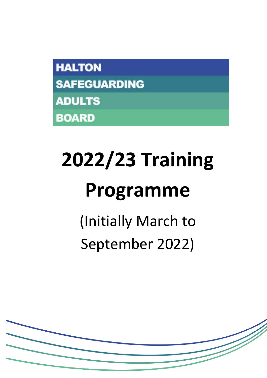# **2022/23 Training Programme**

(Initially March to September 2022)

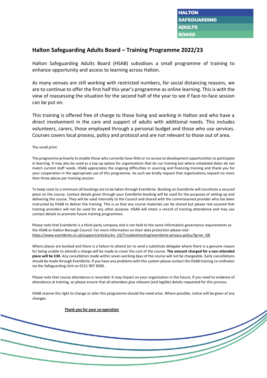### **Halton Safeguarding Adults Board – Training Programme 2022/23**

Halton Safeguarding Adults Board (HSAB) subsidises a small programme of training to enhance opportunity and access to learning across Halton.

As many venues are still working with restricted numbers, for social distancing reasons, we are to continue to offer the first half this year's programme as online learning. This is with the view of reassessing the situation for the second half of the year to see if face-to-face session can be put on.

This training is offered free of charge to those living and working in Halton and who have a direct involvement in the care and support of adults with additional needs. This includes volunteers, carers, those employed through a personal budget and those who use services. Courses covers local process, policy and protocol and are not relevant to those out of area.

The small print:

The programme primarily to enable those who currently have little or no access to development opportunities to participate in learning. It may also be used as a top-up option for organisations that do run training but where scheduled dates do not match current staff needs. HSAB appreciates the ongoing difficulties in sourcing and financing training and thank you for your cooperation in the appropriate use of this programme. As such we kindly request that organisations request no more than three places per training session.

To keep costs to a minimum all bookings are to be taken through Eventbrite. Booking on Eventbrite will constitute a secured place on the course. Contact details given through your Eventbrite booking will be used for the purposes of setting up and delivering the course. They will be used internally to the Council and shared with the commissioned provider who has been instructed by HSAB to deliver the training. This is so that any course materials can be shared but please rest assured that training providers will not be used for any other purpose. HSAB will retain a record of training attendance and may use contact details to promote future training programmes.

Please note that Eventbrite is a third-party company and is not held to the same information governance requirements as the HSAB or Halton Borough Council. For more information on their data protection please visit: [https://www.eventbrite.co.uk/support/articles/en\\_US/Troubleshooting/eventbrite-privacy-policy?lg=en\\_GB](https://www.eventbrite.co.uk/support/articles/en_US/Troubleshooting/eventbrite-privacy-policy?lg=en_GB)

Where places are booked and there is a failure to attend (or to send a substitute delegate where there is a genuine reason for being unable to attend) a charge will be made to cover the cost of the course. **The amount charged for a non-attended place will be £30.** Any cancellation made within seven working days of the course will not be chargeable. Early cancellations should be made through Eventbrite. If you have any problems with this system please contact the HSAB training co-ordinator via the Safeguarding Unit on 0151 907 8306.

Please note that course attendance is recorded. It may impact on your organisation in the future, if you need to evidence of attendance at training, so please ensure that all attendees give relevant (and legible) details requested for this process.

HSAB reserve the right to change or alter this programme should the need arise. Where possible, notice will be given of any changes.

**Thank you for your co-operation**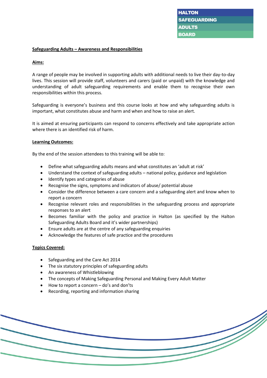#### **Safeguarding Adults – Awareness and Responsibilities**

#### **Aims:**

A range of people may be involved in supporting adults with additional needs to live their day-to-day lives. This session will provide staff, volunteers and carers (paid or unpaid) with the knowledge and understanding of adult safeguarding requirements and enable them to recognise their own responsibilities within this process.

Safeguarding is everyone's business and this course looks at how and why safeguarding adults is important, what constitutes abuse and harm and when and how to raise an alert.

It is aimed at ensuring participants can respond to concerns effectively and take appropriate action where there is an identified risk of harm.

#### **Learning Outcomes:**

By the end of the session attendees to this training will be able to:

- Define what safeguarding adults means and what constitutes an 'adult at risk'
- Understand the context of safeguarding adults national policy, guidance and legislation
- Identify types and categories of abuse
- Recognise the signs, symptoms and indicators of abuse/ potential abuse
- Consider the difference between a care concern and a safeguarding alert and know when to report a concern
- Recognise relevant roles and responsibilities in the safeguarding process and appropriate responses to an alert
- Becomes familiar with the policy and practice in Halton (as specified by the Halton Safeguarding Adults Board and it's wider partnerships)
- Ensure adults are at the centre of any safeguarding enquiries
- Acknowledge the features of safe practice and the procedures

#### **Topics Covered:**

- Safeguarding and the Care Act 2014
- The six statutory principles of safeguarding adults
- An awareness of Whistleblowing
- The concepts of Making Safeguarding Personal and Making Every Adult Matter
- How to report a concern do's and don'ts
- Recording, reporting and information sharing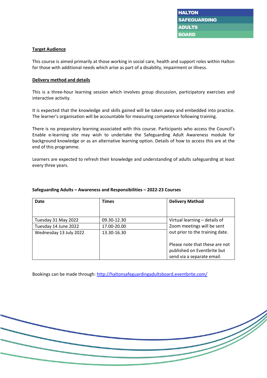#### **Target Audience**

This course is aimed primarily at those working in social care, health and support roles within Halton for those with additional needs which arise as part of a disability, impairment or illness.

#### **Delivery method and details**

This is a three-hour learning session which involves group discussion, participatory exercises and interactive activity.

It is expected that the knowledge and skills gained will be taken away and embedded into practice. The learner's organisation will be accountable for measuring competence following training.

There is no preparatory learning associated with this course. Participants who access the Council's Enable e-learning site may wish to undertake the Safeguarding Adult Awareness module for background knowledge or as an alternative learning option. Details of how to access this are at the end of this programme.

Learners are expected to refresh their knowledge and understanding of adults safeguarding at least every three years.

| Date                   | <b>Times</b> | <b>Delivery Method</b>                                                                      |
|------------------------|--------------|---------------------------------------------------------------------------------------------|
|                        |              |                                                                                             |
| Tuesday 31 May 2022    | 09.30-12.30  | Virtual learning - details of                                                               |
| Tuesday 14 June 2022   | 17.00-20.00  | Zoom meetings will be sent                                                                  |
| Wednesday 13 July 2022 | 13.30-16.30  | out prior to the training date.                                                             |
|                        |              | Please note that these are not<br>published on Eventbrite but<br>send via a separate email. |

#### **Safeguarding Adults – Awareness and Responsibilities – 2022-23 Courses**

Bookings can be made through:<http://haltonsafeguardingadultsboard.eventbrite.com/>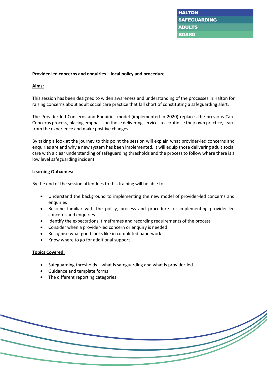#### **Provider-led concerns and enquiries – local policy and procedure**

#### **Aims:**

This session has been designed to widen awareness and understanding of the processes in Halton for raising concerns about adult social care practice that fall short of constituting a safeguarding alert.

The Provider-led Concerns and Enquiries model (implemented in 2020) replaces the previous Care Concerns process, placing emphasis on those delivering services to scrutinise their own practice, learn from the experience and make positive changes.

By taking a look at the journey to this point the session will explain what provider-led concerns and enquiries are and why a new system has been implemented. It will equip those delivering adult social care with a clear understanding of safeguarding thresholds and the process to follow where there is a low level safeguarding incident.

#### **Learning Outcomes:**

By the end of the session attendees to this training will be able to:

- Understand the background to implementing the new model of provider-led concerns and enquiries
- Become familiar with the policy, process and procedure for implementing provider-led concerns and enquiries
- Identify the expectations, timeframes and recording requirements of the process
- Consider when a provider-led concern or enquiry is needed
- Recognise what good looks like in completed paperwork
- Know where to go for additional support

#### **Topics Covered:**

- Safeguarding thresholds what is safeguarding and what is provider-led
- Guidance and template forms
- The different reporting categories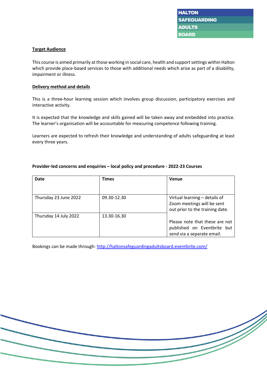#### **Target Audience**

This course is aimed primarily at those working in social care, health and support settings within Halton which provide place-based services to those with additional needs which arise as part of a disability, impairment or illness.

#### **Delivery method and details**

This is a three-hour learning session which involves group discussion, participatory exercises and interactive activity.

It is expected that the knowledge and skills gained will be taken away and embedded into practice. The learner's organisation will be accountable for measuring competence following training.

Learners are expected to refresh their knowledge and understanding of adults safeguarding at least every three years.

| Date                  | <b>Times</b> | Venue                           |
|-----------------------|--------------|---------------------------------|
|                       |              |                                 |
| Thursday 23 June 2022 | 09.30-12.30  | Virtual learning - details of   |
|                       |              | Zoom meetings will be sent      |
|                       |              | out prior to the training date. |
| Thursday 14 July 2022 | 13.30-16.30  |                                 |
|                       |              | Please note that these are not  |
|                       |              | published on Eventbrite but     |
|                       |              | send via a separate email.      |

#### **Provider-led concerns and enquiries – local policy and procedure - 2022-23 Courses**

Bookings can be made through:<http://haltonsafeguardingadultsboard.eventbrite.com/>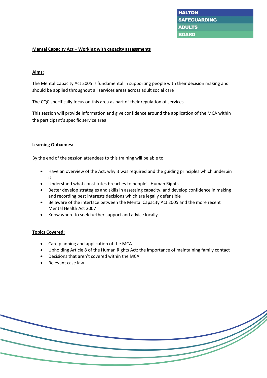#### **Mental Capacity Act – Working with capacity assessments**

#### **Aims:**

The Mental Capacity Act 2005 is fundamental in supporting people with their decision making and should be applied throughout all services areas across adult social care

The CQC specifically focus on this area as part of their regulation of services.

This session will provide information and give confidence around the application of the MCA within the participant's specific service area.

#### **Learning Outcomes:**

By the end of the session attendees to this training will be able to:

- Have an overview of the Act, why it was required and the guiding principles which underpin it
- Understand what constitutes breaches to people's Human Rights
- Better develop strategies and skills in assessing capacity, and develop confidence in making and recording best interests decisions which are legally defensible
- Be aware of the interface between the Mental Capacity Act 2005 and the more recent Mental Health Act 2007
- Know where to seek further support and advice locally

#### **Topics Covered:**

- Care planning and application of the MCA
- Upholding Article 8 of the Human Rights Act: the importance of maintaining family contact
- Decisions that aren't covered within the MCA
- Relevant case law

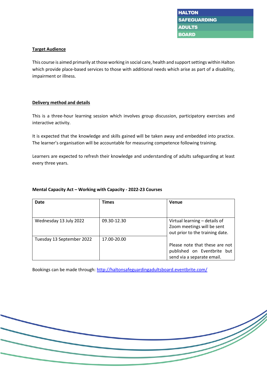#### **Target Audience**

This course is aimed primarily at those working in social care, health and support settings within Halton which provide place-based services to those with additional needs which arise as part of a disability, impairment or illness.

#### **Delivery method and details**

This is a three-hour learning session which involves group discussion, participatory exercises and interactive activity.

It is expected that the knowledge and skills gained will be taken away and embedded into practice. The learner's organisation will be accountable for measuring competence following training.

Learners are expected to refresh their knowledge and understanding of adults safeguarding at least every three years.

#### **Mental Capacity Act – Working with Capacity - 2022-23 Courses**

| Date                      | <b>Times</b> | Venue                                                                                          |
|---------------------------|--------------|------------------------------------------------------------------------------------------------|
| Wednesday 13 July 2022    | 09.30-12.30  | Virtual learning - details of<br>Zoom meetings will be sent<br>out prior to the training date. |
| Tuesday 13 September 2022 | 17.00-20.00  | Please note that these are not<br>published on Eventbrite but<br>send via a separate email.    |

Bookings can be made through:<http://haltonsafeguardingadultsboard.eventbrite.com/>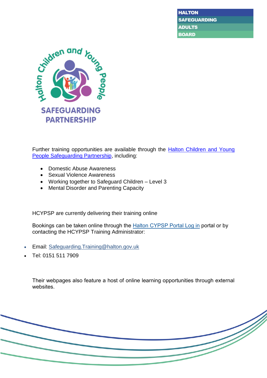

Further training opportunities are available through the **Halton Children and Young** [People Safeguarding Partnership,](https://hcypsp.haltonsafeguarding.co.uk/training/) including:

- Domestic Abuse Awareness
- Sexual Violence Awareness
- Working together to Safeguard Children Level 3
- Mental Disorder and Parenting Capacity

HCYPSP are currently delivering their training online

Bookings can be taken online through the [Halton CYPSP Portal Log in](https://halton.accessplanit.com/accessplan/LMSPortal/UI/Page/Authentication/Login/Default.aspx) portal or by contacting the HCYPSP Training Administrator:

- Email: [Safeguarding.Training@halton.gov.uk](mailto:Safeguarding.Training@halton.gov.uk)
- Tel: 0151 511 7909

Their webpages also feature a host of online learning opportunities through external websites.